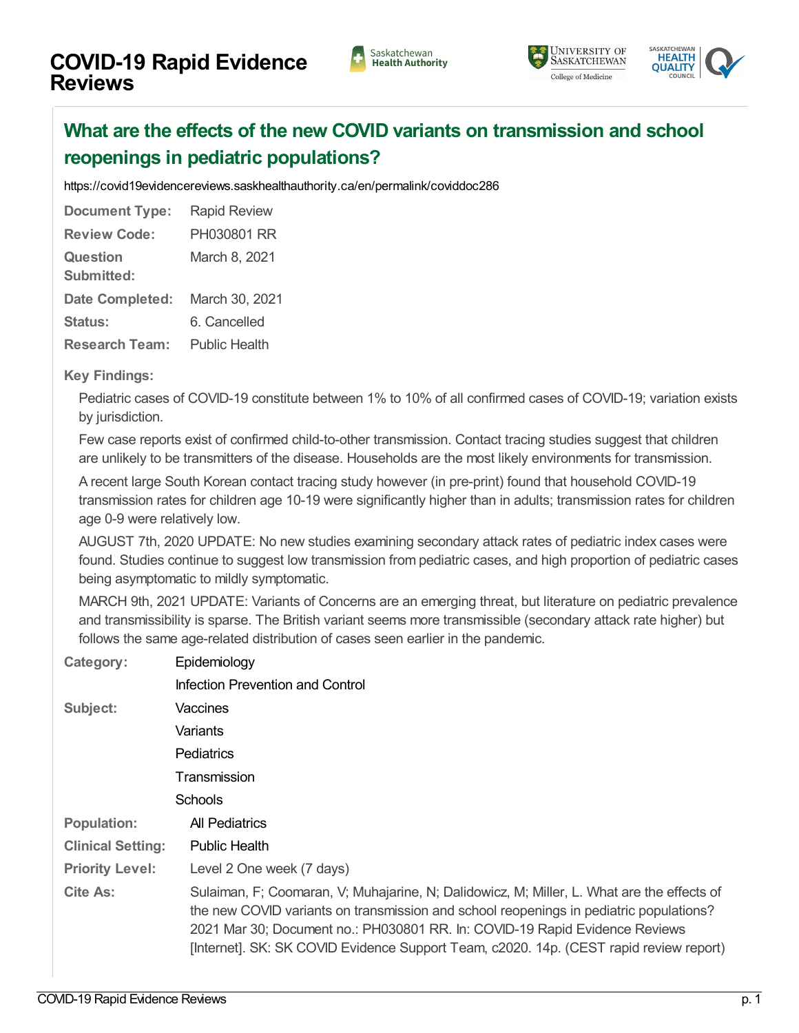## Saskatchewan<br>Health Authority





## **What are the effects of the new COVID variants on [transmission](https://covid19evidencereviews.saskhealthauthority.ca/en/viewer?file=%252fmedia%252fCOVID%252fPH030801%20RR.pdf#search=id%253acoviddoc286&phrase=false&pagemode=bookmarks) and school reopenings in pediatric populations?**

<https://covid19evidencereviews.saskhealthauthority.ca/en/permalink/coviddoc286>

| <b>Document Type:</b>         | <b>Rapid Review</b>  |
|-------------------------------|----------------------|
| <b>Review Code:</b>           | PH030801 RR          |
| <b>Question</b><br>Submitted: | March 8, 2021        |
| <b>Date Completed:</b>        | March 30, 2021       |
| Status:                       | 6. Cancelled         |
| <b>Research Team:</b>         | <b>Public Health</b> |

## **Key Findings:**

Pediatric cases of COVID-19 constitute between 1% to 10% of all confirmed cases of COVID-19; variation exists by jurisdiction.

Few case reports exist of confirmed child-to-other transmission. Contact tracing studies suggest that children are unlikely to be transmitters of the disease. Households are the most likely environments for transmission.

A recent large South Korean contact tracing study however (in pre-print) found that household COVID-19 transmission rates for children age 10-19 were significantly higher than in adults; transmission rates for children age 0-9 were relatively low.

AUGUST 7th, 2020 UPDATE: No new studies examining secondary attack rates of pediatric index cases were found. Studies continue to suggest low transmission from pediatric cases, and high proportion of pediatric cases being asymptomatic to mildly symptomatic.

MARCH 9th, 2021 UPDATE: Variants of Concerns are an emerging threat, but literature on pediatric prevalence and transmissibility is sparse. The British variant seems more transmissible (secondary attack rate higher) but follows the same age-related distribution of cases seen earlier in the pandemic.

| Category:                | Epidemiology                                                                                                                                                                                                                                                                                                                                                  |  |
|--------------------------|---------------------------------------------------------------------------------------------------------------------------------------------------------------------------------------------------------------------------------------------------------------------------------------------------------------------------------------------------------------|--|
|                          | Infection Prevention and Control                                                                                                                                                                                                                                                                                                                              |  |
| Subject:                 | Vaccines                                                                                                                                                                                                                                                                                                                                                      |  |
|                          | Variants                                                                                                                                                                                                                                                                                                                                                      |  |
|                          | Pediatrics                                                                                                                                                                                                                                                                                                                                                    |  |
|                          | Transmission                                                                                                                                                                                                                                                                                                                                                  |  |
|                          | Schools                                                                                                                                                                                                                                                                                                                                                       |  |
| <b>Population:</b>       | All Pediatrics                                                                                                                                                                                                                                                                                                                                                |  |
| <b>Clinical Setting:</b> | <b>Public Health</b>                                                                                                                                                                                                                                                                                                                                          |  |
| <b>Priority Level:</b>   | Level 2 One week (7 days)                                                                                                                                                                                                                                                                                                                                     |  |
| <b>Cite As:</b>          | Sulaiman, F; Coomaran, V; Muhajarine, N; Dalidowicz, M; Miller, L. What are the effects of<br>the new COVID variants on transmission and school reopenings in pediatric populations?<br>2021 Mar 30; Document no.: PH030801 RR. In: COVID-19 Rapid Evidence Reviews<br>[Internet]. SK: SK COVID Evidence Support Team, c2020. 14p. (CEST rapid review report) |  |